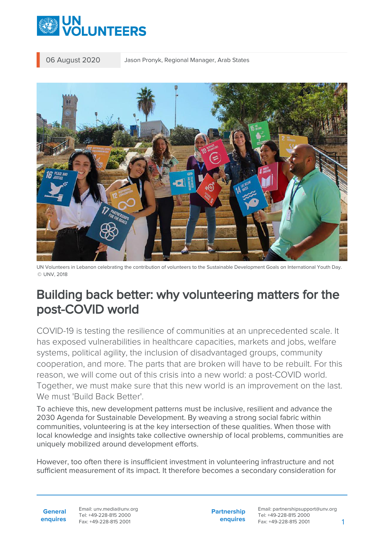

06 August 2020 Jason Pronyk, Regional Manager, Arab States



UN Volunteers in Lebanon celebrating the contribution of volunteers to the Sustainable Development Goals on International Youth Day. © UNV, 2018

## Building back better: why volunteering matters for the post-COVID world

COVID-19 is testing the resilience of communities at an unprecedented scale. It has exposed vulnerabilities in healthcare capacities, markets and jobs, welfare systems, political agility, the inclusion of disadvantaged groups, community cooperation, and more. The parts that are broken will have to be rebuilt. For this reason, we will come out of this crisis into a new world: a post-COVID world. Together, we must make sure that this new world is an improvement on the last. We must 'Build Back Better'.

To achieve this, new development patterns must be inclusive, resilient and advance the 2030 Agenda for Sustainable Development. By weaving a strong social fabric within communities, volunteering is at the key intersection of these qualities. When those with local knowledge and insights take collective ownership of local problems, communities are uniquely mobilized around development efforts.

However, too often there is insufficient investment in volunteering infrastructure and not sufficient measurement of its impact. It therefore becomes a secondary consideration for

**General enquires** Email: unv.media@unv.org Tel: +49-228-815 2000 Fax: +49-228-815 2001

**Partnership enquires** Email: partnershipsupport@unv.org Tel: +49-228-815 2000 Fax: +49-228-815 2001 1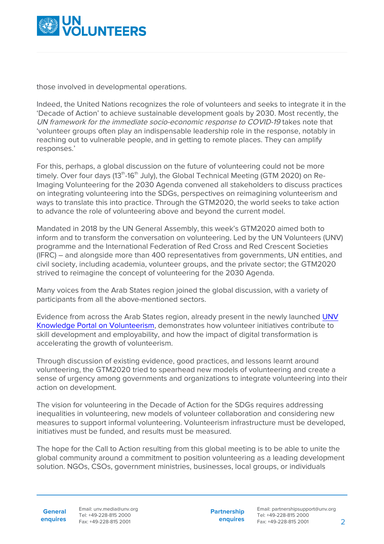

those involved in developmental operations.

Indeed, the United Nations recognizes the role of volunteers and seeks to integrate it in the 'Decade of Action' to achieve sustainable development goals by 2030. Most recently, the UN framework for the immediate socio-economic response to COVID-19 takes note that 'volunteer groups often play an indispensable leadership role in the response, notably in reaching out to vulnerable people, and in getting to remote places. They can amplify responses.'

For this, perhaps, a global discussion on the future of volunteering could not be more timelv. Over four days (13<sup>th</sup>-16<sup>th</sup> July), the Global Technical Meeting (GTM 2020) on Re-Imaging Volunteering for the 2030 Agenda convened all stakeholders to discuss practices on integrating volunteering into the SDGs, perspectives on reimagining volunteerism and ways to translate this into practice. Through the GTM2020, the world seeks to take action to advance the role of volunteering above and beyond the current model.

Mandated in 2018 by the UN General Assembly, this week's GTM2020 aimed both to inform and to transform the conversation on volunteering. Led by the UN Volunteers (UNV) programme and the International Federation of Red Cross and Red Crescent Societies (IFRC) – and alongside more than 400 representatives from governments, UN entities, and civil society, including academia, volunteer groups, and the private sector; the GTM2020 strived to reimagine the concept of volunteering for the 2030 Agenda.

Many voices from the Arab States region joined the global discussion, with a variety of participants from all the above-mentioned sectors.

Evidence from across the Arab States region, already present in the newly launched [UNV](http://knowledge.unv.org/) [Knowledge Portal on Volunteerism](http://knowledge.unv.org/), demonstrates how volunteer initiatives contribute to skill development and employability, and how the impact of digital transformation is accelerating the growth of volunteerism.

Through discussion of existing evidence, good practices, and lessons learnt around volunteering, the GTM2020 tried to spearhead new models of volunteering and create a sense of urgency among governments and organizations to integrate volunteering into their action on development.

The vision for volunteering in the Decade of Action for the SDGs requires addressing inequalities in volunteering, new models of volunteer collaboration and considering new measures to support informal volunteering. Volunteerism infrastructure must be developed, initiatives must be funded, and results must be measured.

The hope for the Call to Action resulting from this global meeting is to be able to unite the global community around a commitment to position volunteering as a leading development solution. NGOs, CSOs, government ministries, businesses, local groups, or individuals

**General**

**enquires** Tel: +49-228-815 2000 Fax: +49-228-815 2001 Email: unv.media@unv.org<br>Tel: +49-228-815 2000

**Partnership enquires**

Email: partnershipsupport@unv.org Tel: +49-228-815 2000 Fax: +49-228-815 2001 2